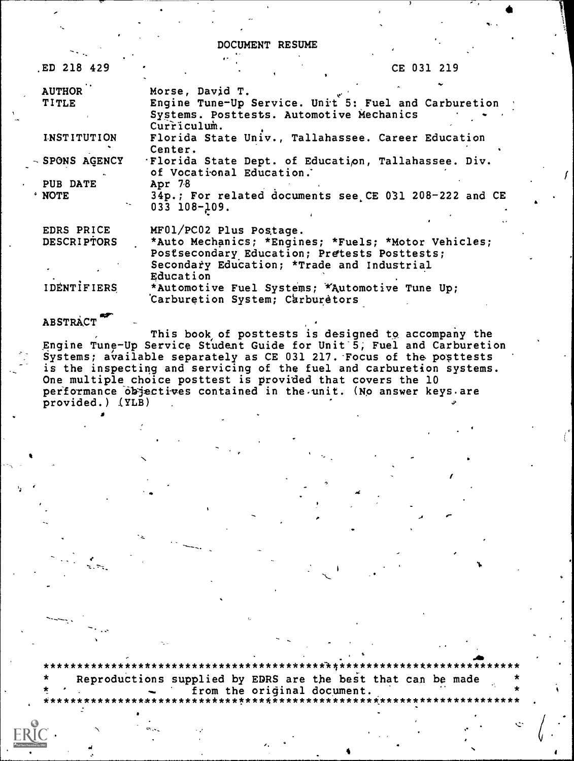DOCUMENT RESUME

|  | CE 031 | 219 |
|--|--------|-----|
|--|--------|-----|

| <b>AUTHOR</b>      | Morse, David T.                                                                                                                                                |
|--------------------|----------------------------------------------------------------------------------------------------------------------------------------------------------------|
| TITLE              | Engine Tune-Up Service. Unit 5: Fuel and Carburetion<br>Systems. Posttests. Automotive Mechanics<br>Curriculum.                                                |
| <b>INSTITUTION</b> | Florida State Univ., Tallahassee. Career Education<br>Center.                                                                                                  |
| SPONS AGENCY       | 'Florida State Dept. of Education, Tallahassee. Div.<br>of Vocational Education.                                                                               |
| <b>PUB DATE</b>    | Apr 78                                                                                                                                                         |
| <b>NOTE</b>        | 34p.; For related documents see CE 031 208-222 and CE<br>033 108-109.                                                                                          |
| EDRS PRICE         | MF01/PC02 Plus Postage.                                                                                                                                        |
| <b>DESCRIPTORS</b> | *Auto Mechanics; *Engines; *Fuels; *Motor Vehicles;<br>Postsecondary Education; Pretests Posttests;<br>Secondary Education; *Trade and Industrial<br>Education |
| IDENTIFIERS        | *Automotive Fuel Systems; *Automotive Tune Up;<br>Carburetion System; Carburetors                                                                              |

#### **ABSTRACT**

\*\*\*\*\*\*\*\*\*\*\*

ED 218 429

This book of posttests is designed to accompany the Engine Tune-Up Service Student Guide for Unit 5, Fuel and Carburetion Systems; available separately as CE 031 217. Focus of the posttests is the inspecting and servicing of the fuel and carburetion systems. One multiple choice posttest is provided that covers the 10<br>performance objectives contained in the unit. (No answer keys are provided.) (YLB)

Reproductions supplied by EDRS are the best that can be made from the original document. \*\*\*\*\*\*\*\*\*\*\*\*\*\*\*\*\*\*\*\*\*\*\*\*\*\*\*\*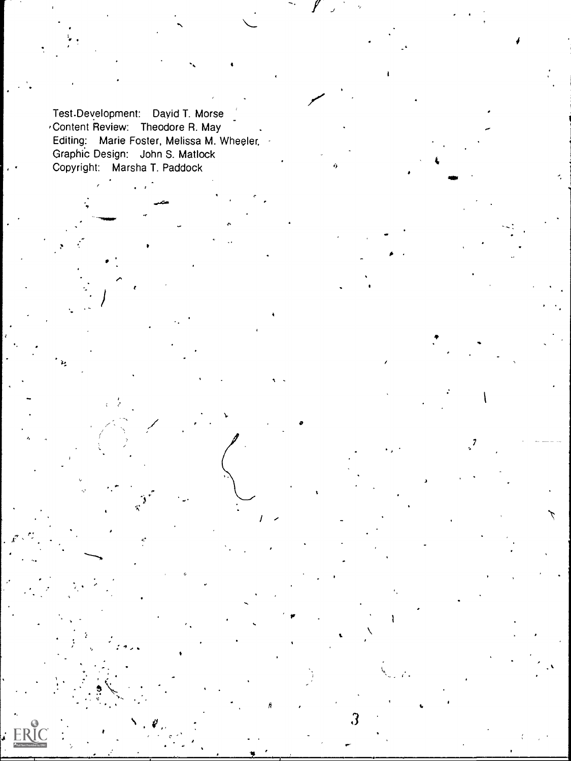Test-Development: Dayid T. Morse 'Content Review: Theodore R. May Editing: Marie Foster, Melissa M. Wheeler, Graphic Design: John S. Matlock Copyright: Marsha T. Paddock

 $\mathbf{r}$ 

 $\bullet$  and the set of  $\bullet$ 

V

 $3 \left( \frac{1}{2} \right)$ 

1

7

: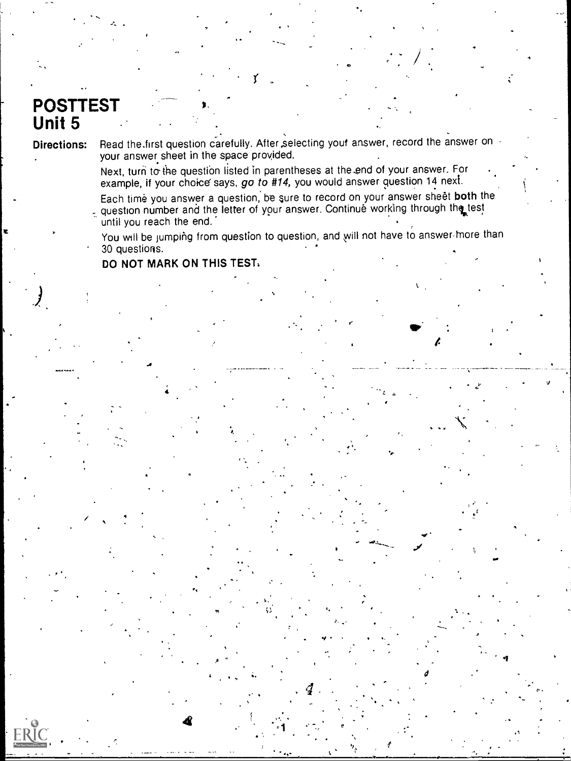## **POSTTEST Unit 5**

**Directions:** 

Read the first question carefully. After selecting your answer, record the answer on your answer sheet in the space provided.

Next, turn to the question listed in parentheses at the end of your answer. For example, if your choice says, go to #14, you would answer question 14 next.

Each time you answer a question, be sure to record on your answer sheet both the question number and the letter of your answer. Continue working through the test until you reach the end.

You will be jumping from question to question, and will not have to answer-more than 30 questions.

DO NOT MARK ON THIS TEST.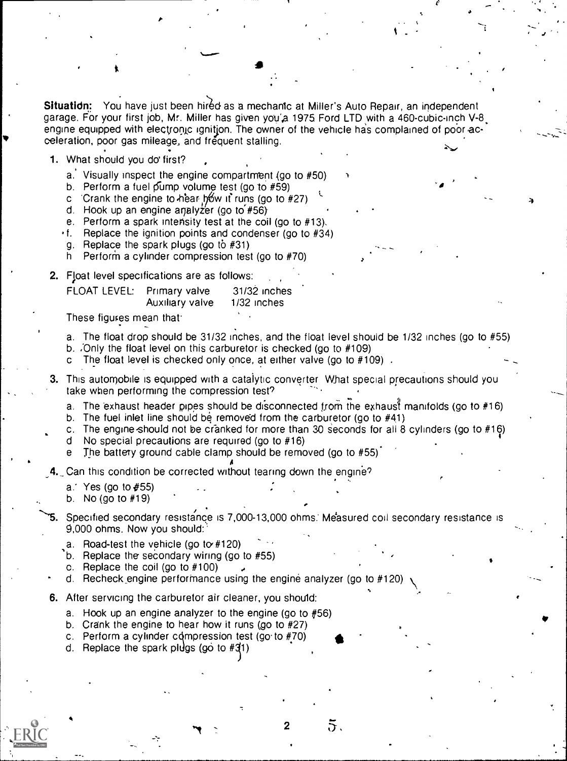Situation: You have just been hired as a mechanic at Miller's Auto Repair, an independent garage. For your first job, Mr. Miller has given you'a 1975 Ford LTD with a 460-cubic-inch V-8 [ engine equipped with electronic ignitjon. The owner of the vehicle has complained of poor acceleration, poor gas mileage, and frequent stalling.

 $t \sim \tau$ 

1. What should you do' first?

- a. Visually inspect the engine compartment (go to  $#50$ )
- b. Perform a fuel pump volume test (go to  $#59$ )
- c Crank the engine to hear bow if runs (go to  $#27$ )
- d. Hook up an engine analyzer (go to  $#56$ )
- e. Perform a spark intensity test at the coil (go to #13).
- $\cdot$  f. Replace the ignition points and condenser (go to #34)
- g. Replace the spark plugs (go to #31)
- h Perform a cylinder compression test (go to #70)

2. Float level specifications are as follows:

| FLOAT LEVEL: Primary valve | Auxiliary valve | $31/32$ inches<br>1/32 inches |  |
|----------------------------|-----------------|-------------------------------|--|
|                            |                 |                               |  |

These figures mean that

- a. The float drop should be 31/32 inches, and the float level should be 1/32 inches (go to #55)
- b. Only the float level on this carburetor is checked (go to  $#109$ )
- The float level is checked only once, at either valve (go to  $#109$ ).

3. This automobile is equipped with a catalytic converter What special precautions should you take when performing the compression test?

a. The exhaust header pipes should be disconnected from the exhaust manifolds (go to  $#16$ )

b. The fuel inlet line should be removed from the carburetor (go to  $#41$ )

- c. The engine-should not be cranked for more than 30 seconds for all 8 cylinders (go to  $#16$ )
- d No special precautions are required (go to #16)
- e The battery ground cable clamp should be removed (go to  $#55$ )

A 4. Can this condition be corrected without tearing down the engine?

- a. Yes (go to  $#55$ )
- b. No (go to #19)

Specified secondary resistance is 7,000-13,000 ohms.' Measured coil secondary resistance is 9,000 ohms. Now you should:'

2

 $\bar{\mathbf{5}}$ .

- a. Road-test the vehicle (go to  $#120$ )
- b. Replace the secondary wiring (go to #55)
- c. Replace the coil (go to #100)
- d. Recheck engine performance using the engine analyzer (go to  $#120$ )
- 6. After servicing the carburetor air cleaner, you should:
	- a. Hook up an engine analyzer to the engine (go to  $#56$ )
	- b. Crank the engine to hear how it runs (go to #27)
	- c. Perform a cylinder compression test (go to  $#70$ )
	- d. Replace the spark pidgs (go to  $#31$ )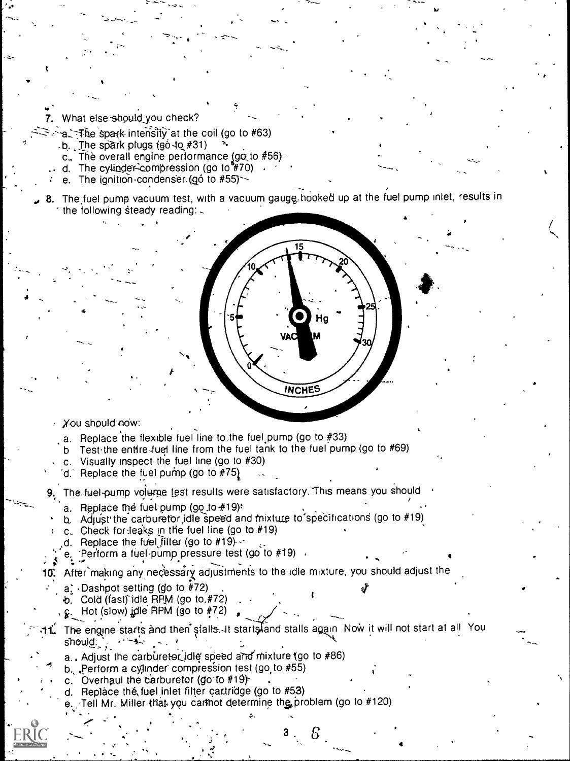What else should you check?

 $\mathcal{L}_{\mathbf{a}}$  and  $\mathcal{L}_{\mathbf{a}}$ 

 $\bullet$  .

<u>t</u>

- $\sim$ al  $\pm$ fie spark intensity at the coil (go to #63)
	- $-b.$  The spark plugs (go -to #31)
	- c.. The overall engine performance (go to  $#56$ )
	- d. The cylinder-compression (go to  $#70$ )
	- e. The ignition-condenser- $(90$  to  $#55)$
- 8. The fuel pump vacuum test, with a vacuum gauge-hooked up at the fuel pump inlet, results in the following steady reading:  $\sim$

#### You should now:

4

- a. Replace the flexible fuel line to the fuel pump (go to  $#33$ )
- b Test the entire fuel line from the fuel tank to the fuel pump (go to #69)
- c. Visually inspect the fuel line (go to #30)
- d. Replace the fuel pump (go to  $#75$ )

The fuel-pump volume test results were satisfactory. This means you should

- a. Replace the fuel pump (go to  $#19$ ):
- b. Adjust the carburetor idle speed and mixture to specifications (go to  $#19$ )
- c. Check for leaks in the fuel line (go to  $#19$ )
- d. Replace the fuel filter (go to  $#19$ ) -
- e. : Perform a fuel pump pressure test (go to  $#19$ )

## After making any necessary adjustments to the idle mixture, you should adjust the

- $a_i$  Dashpot setting (go to #72).
- b. Cold (fast) idle RPM (go to #72)
- $\epsilon$ . Hot (slow) idle RPM (go to #72)

### 1. The engine starts and then stalls.-It starts and stalls again Now it will not start at all You should: .

- a.. Adjust the carburetor idle speed and mixture (go to  $#86$ )
- b., .Perform a cylinder compression test (go. to #55)
- c. Overhaul the carburetor (go to  $#19$ )-
- d. Replace the fuel inlet filter cartridge (go to  $#53$ )
- Tell Mr. Miller that you cannot determine the problem (go to #120) ,
	- $\mathcal{E}$   $\mathcal{E}$   $\mathcal{E}$   $\mathcal{E}$   $\mathcal{E}$   $\mathcal{E}$   $\mathcal{E}$   $\mathcal{E}$   $\mathcal{E}$   $\mathcal{E}$   $\mathcal{E}$   $\mathcal{E}$   $\mathcal{E}$   $\mathcal{E}$   $\mathcal{E}$   $\mathcal{E}$   $\mathcal{E}$   $\mathcal{E}$   $\mathcal{E}$   $\mathcal{E}$   $\mathcal{E}$   $\mathcal{E}$   $\mathcal{E}$   $\mathcal{E}$   $\mathcal{$

t

**INCHES**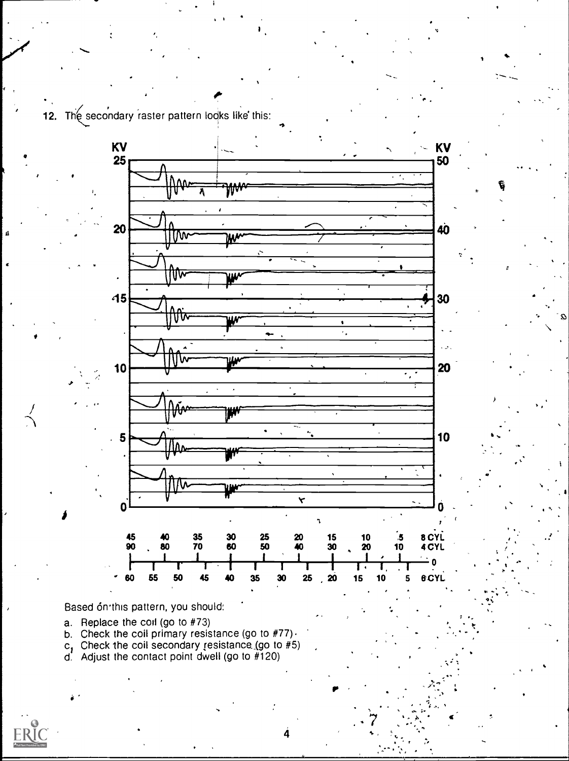



Based ón this pattern, you should:

- 
- a. Replace the coil (go to #73)<br>b. Check the coil primary resistance (go to #77)  $\cdot$ <br>c, Check the coil secondary resistance (go to #5)<br>d. Adjust the contact point dwell (go to #120)
- 
- 

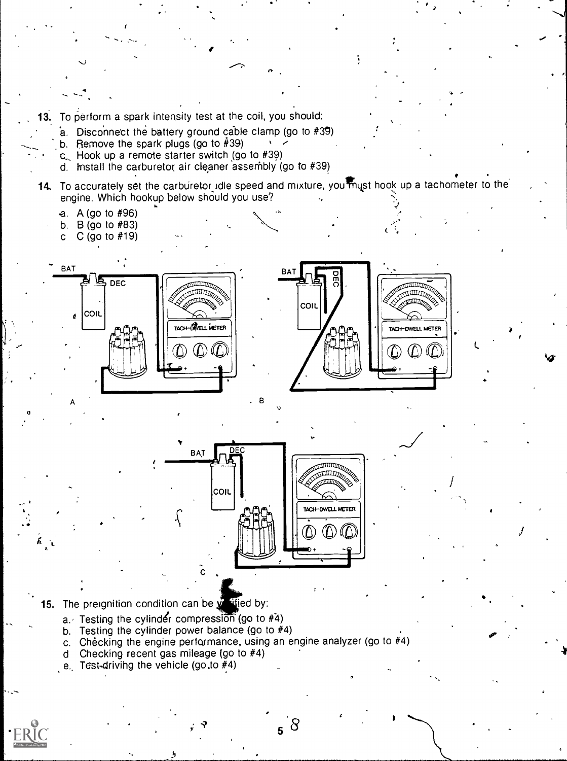- 13. To perform a spark intensity test at the coil, you should:
	- a. Disconnect the battery ground cable clamp (go to #39)
	- b. Remove the spark plugs (go to  $\hat{\#}39$ )
	- c Hook up a remote starter switch (go to #39)
	- d. Install the carburetor air cleaner assembly (go to  $#39$ )
- 14. To accurately set the carburetor idle speed and mixture, you must hook up a tachometer to the engine. Which hookup below should you use?
	- a. A (go to #96)
	- b. B (go to #83)
	- c  $C$  (go to  $#19$ )





 $\mathcal{I}$  is a set of  $\mathcal{I}$ 

 $\mathbf{u} \neq \mathbf{u}$ 

I



15. The preignition condition can be  $\sqrt{\frac{df}{dt}}$  ed by:

- $a.$  Testing the cylinder compression (go to  $#4$ )
- b. Testing the cylinder power balance (go to #4)
- c. Checking the engine performance, using an engine analyzer (go to #4)
- d Checking recent gas mileage (go to #4)
- e.. Test-drivihg the vehicle (go.to #4)

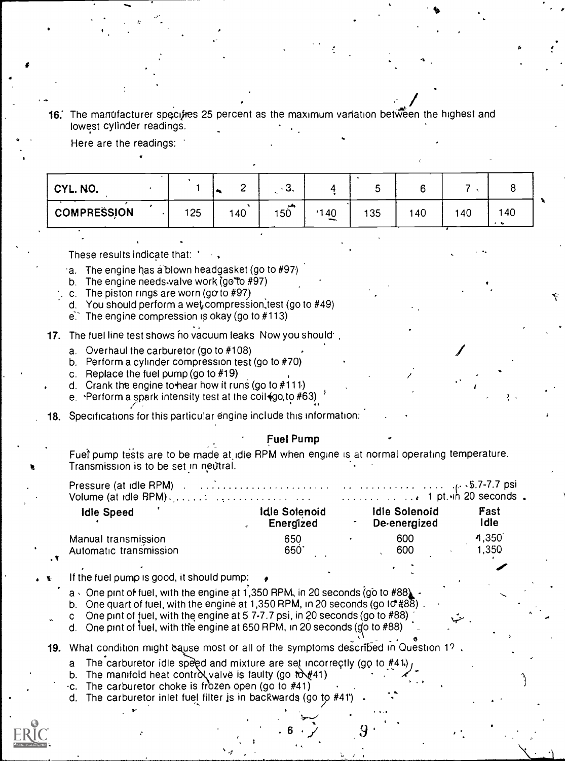16. The manufacturer specifies 25 percent as the maximum variation between the highest and lowest cylinder readings.

Here are the readings:

| CYL. NO.           |     |     | ◠<br>. ت      |                                | ັ  |     |     |     |  |
|--------------------|-----|-----|---------------|--------------------------------|----|-----|-----|-----|--|
| <b>COMPRESSION</b> | 125 | 140 | والمرد<br>150 | 40<br>$\overline{\phantom{a}}$ | 35 | 140 | 140 | 140 |  |

 $\bullet$  .

..

These results indicate that: ,

- a. The engine has a blown headgasket (go to  $#97$ )
- b. The engine needs valve work (go'To #97)
- c. The piston rings are worn (go to  $#97$ )
- d. You should perform a wet compression, test (go to #49)
- $e^x$ . The engine compression is okay (go to #113)
- 17. The fuel line test shows no vacuum leaks Now you should',
	- a. Overhaul the carburetor (go to #108)
	- b. Perform a cylinder compression test (go to #70)
	- c. Replace the fuel pump (go to #19)
	- d. Crank the engine to'hear how it runs (go to #111.)
	- e.  $\cdot$ Perform a spark intensity test at the coil $\csc(1690, 10 \cdot \text{#}63)$
- 18. Specifications for this particular engine include this information:

#### Fuel Pump

4.

. 6  $\cdot$   $\sqrt{ }$  9

Fuel pump tests are to be made at idle RPM when engine is at normal operating temperature. Transmission is to be set in neutral.

| $\blacksquare$ . The contract of the contract of the contract of the contract of the contract of the contract of the contract of the contract of the contract of the contract of the contract of the contract of the contract of the | $\mathbf{r}$ |
|--------------------------------------------------------------------------------------------------------------------------------------------------------------------------------------------------------------------------------------|--------------|
| Volume (at idle RPM), $\ldots$ : $\ldots$ . $\ldots$ . $\ldots$ . $\ldots$ . $\ldots$ . $\ldots$ . $\ldots$ 1 pt. $\ldots$ 20 seconds.                                                                                               |              |
| Pressure (at idle RPM) and account of the contract of the RPM and the contract of the CDT-7.7 psi                                                                                                                                    |              |

| <b>Idle Speed</b>      | <b>Idle Solenoid</b><br>Energized | <b>Idle Solenoid</b><br>De-energized | Fast<br>idle |  |
|------------------------|-----------------------------------|--------------------------------------|--------------|--|
| Manual transmission    | 650                               | 600                                  | 4.350        |  |
| Automatic transmission | 650                               | 600                                  | I.350        |  |
|                        |                                   |                                      |              |  |

#### If the fuel pump is good, it should pump:

 $a \cdot$  One prnt of fuel, with the engine at 1,350 RPM, in 20 seconds (go to #88)

- b. One quart of fuel, with the engine at 1,350 RPM, in 20 seconds (go to  $\#\mathcal{B}\overline{\mathcal{B}}$ )
- c One pint of fuel, with the engine at 5 7-7.7 psi, in 20 seconds (go to  $#88$ )
- d. One pint of fuel, with the engine at 650 RPM, in 20 seconds (go to  $#88$ )
- 19. What condition might equse most or all of the symptoms described in Question 19.
	- a The carburetor idle speed and mixture are set incorrectly (go to  $#41$ .)
	- b. The manifold heat control valve is faulty (go  $\omega$ #41)
	- $\cdot$ c. The carburetor choke is frozen open (go to #41)
	- d. The carburetor inlet fuel filter is in backwards (go to #41)  $\cdot$   $\cdot$  $\mathbf{F} = \begin{bmatrix} \mathbf{F} & \mathbf{F} & \mathbf{F} & \mathbf{F} & \mathbf{F} & \mathbf{F} & \mathbf{F} & \mathbf{F} & \mathbf{F} & \mathbf{F} & \mathbf{F} & \mathbf{F} & \mathbf{F} & \mathbf{F} & \mathbf{F} & \mathbf{F} & \mathbf{F} & \mathbf{F} & \mathbf{F} & \mathbf{F} & \mathbf{F} & \mathbf{F} & \mathbf{F} & \mathbf{F} & \mathbf{F} & \mathbf{F} & \mathbf{F} & \mathbf{F} & \mathbf{F} & \mathbf{$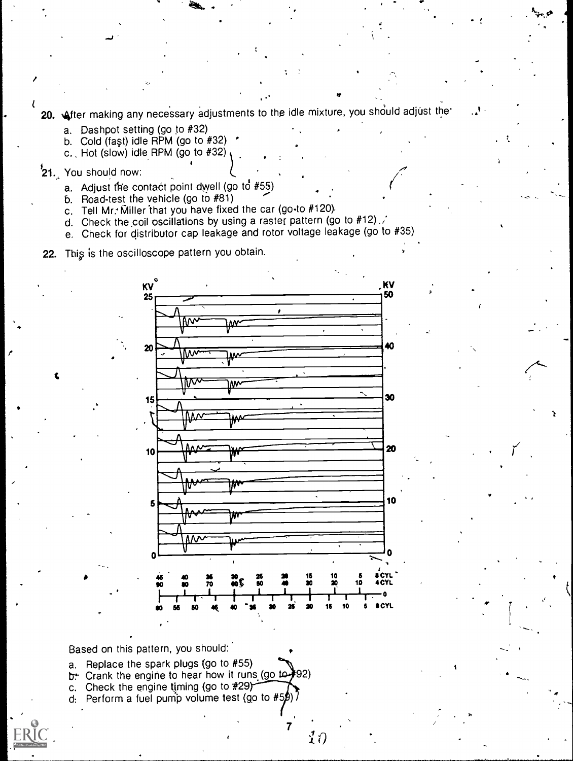20. After making any necessary adjustments to the idle mixture, you should adjust the

- a. Dashpot setting (go to #32)
- b. Cold (fast) idle  $RPM$  (go to  $#32$ )
- c.. Hot (slow) idle RPM (go to #32)

# <sup>2</sup>1. You should now:

 $\bullet$  and  $\bullet$ 

f

- a. Adjust the contact point dwell (go to  $#55$ )
- b. Road-test the vehicle (go to #81)
- c. Tell Mr. Miller that you have fixed the car (go-to  $#120$ ).
- d. Check the coil oscillations by using a raster pattern (go to #12).
- e. Check for distributor cap leakage and rotor voltage leakage (go to #35)

22. This is the oscilloscope pattern you obtain.



 $\it i'$  ()

Based on this pattern, you should:

- a. Replace the spark plugs (go to #55)
- b. Crank the engine to hear how it runs (go to \$92)
- c. Check the engine timing (go to #29)
- d: Perform a fuel pump volume test (go to  $#5\cancel{B}$ )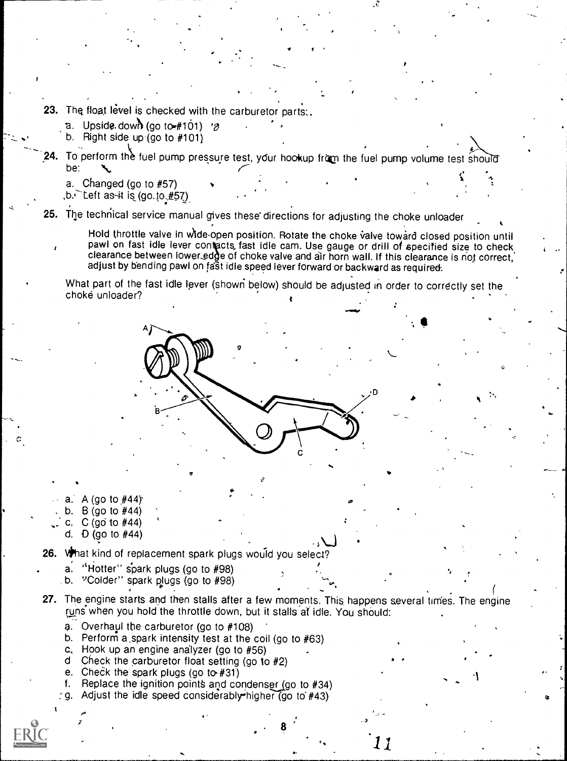- 23. The float level is checked with the carburetor parts:.
	- a. Upside. down (go to  $\#101$ ) 's
	- b. Right side up (go to #101)
- 24. To perform the fuel pump pressure test, your hookup from the fuel pump volume test should be:

a. Changed (go to #57)  $1.6.$  Left as  $41$  is (go.  $10.457$ )

25. The technical service manual gives these directions for adjusting the choke unloader

Hold throttle valve in wide-open position. Rotate the choke valve toward closed position until clearance between lower edge of choke valve and air horn wall. If this clearance is not correct, pawl on fast idle lever contacts, fast idle cam. Use gauge or drill of specified size to check adjust by bending pawl on fast idle speed lever forward or backward as required.

1.4111.10

What part of the fast idle lever (showri below) should be adjusted in order to correctly set the choke unloader?

- a. A (go to #44)
- b.  $B$  (go to  $#44$ )
- c. C (go to #44)
- d. **D** (go to #44)

, and it is the set of  $\mathcal{L}$ 26. What kind of replacement spark plugs would you select?

a. "Hotter" spark plugs (go to  $#98$ ) b. "Colder" spark plugs (go to  $#98$ )

'

- 
- 27. The engine starts and then stalls after a few moments. This happens several times. The engine runs when you hold the throttle down, but it stalls at idle. You should:

...

 $\bullet$  and  $\bullet$ 

11

- a. Overhavl the carburetor (go to #108)
- b. Perform a spark intensity test at the coil (go to #63)
- c. Hook up an engine analyzer (go to #56)
- d Check the carburetor float setting (go to #2)
- e. Check the spark plugs (go to  $#31$ )
- f. Replace the ignition points and condenser  $(go to #34)$
- g. Adjust the idle speed considerably higher (go to  $#43$ )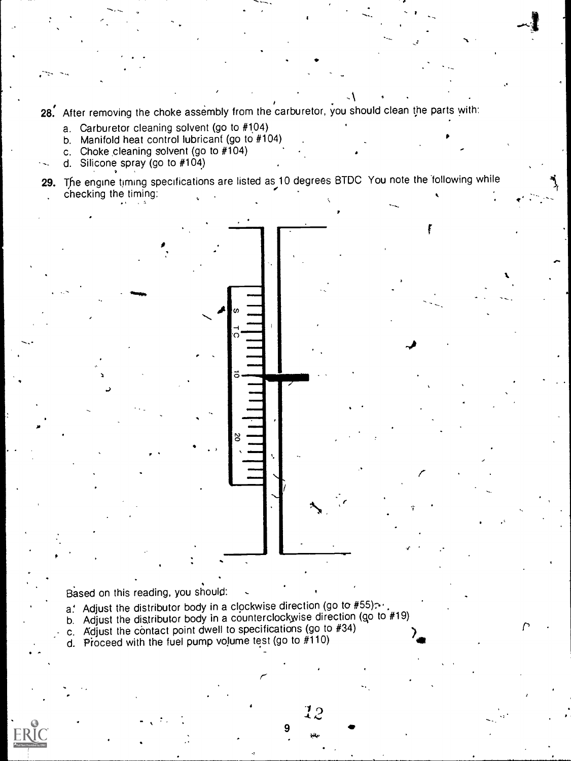-1 . 28. After removing the choke assembly from the carburetor, you should clean the parts with:

- a. Carburetor cleaning solvent (go to #104)
- b. Manifold heat control lubricant (go to #104)
- c. Choke cleaning solvent (go to  $#104$ )
- d. Silicone spray (go to #104)

..

29. The engine timing specifications are listed as 10 degrees BTDC. You note the following while<br>checking the timing:



,

- a.' Adjust the distributor body in a clockwise direction (go to  $#55$ )...
- b. Adjust the distributor body in a counterclockwise direction (go to  $#19$ ) c. Adjust the contact point dwell to specifications (go to  $#34$ )

r-

9

12

l i s

 $\mathcal{T}$  and  $\mathcal{T}$ 

I

- 
- d. Proceed with the fuel pump volume test (go to  $#110$ )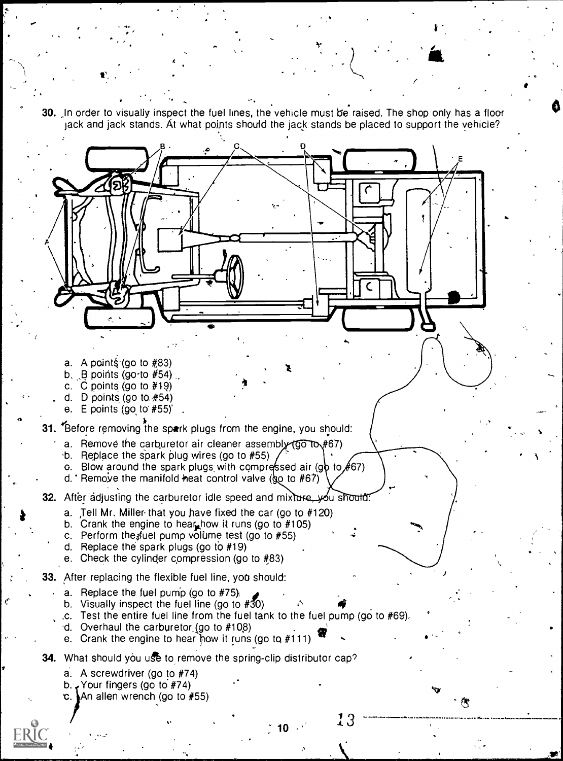30. In order to visually inspect the fuel lines, the vehicle must be raised. The shop only has a floor jack and jack stands. At what points should the jack stands be placed to support the vehicle?



e.°

معنى ♦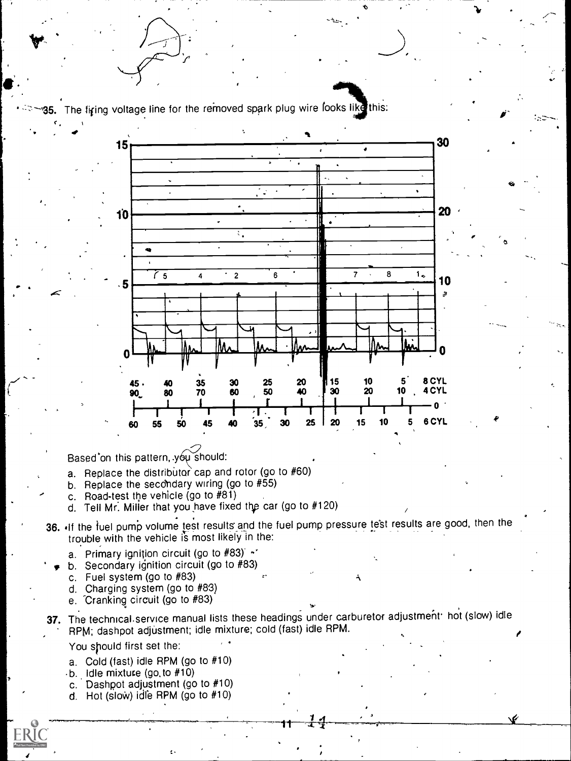35. The firing voltage line for the removed spark plug wire looks like this:



Based'on this pattern, you should:

- a. Replace the distributor cap and rotor (go to  $#60$ )
- b. Replace the secondary wiring (go to  $#55$ )
- c. Road-test the vehicle (go to #81)
- d. Tell Mr. Miller that you have fixed the car (go to #120)
- 36. If the fuel pump volume test results and the fuel pump pressure test results are good, then the trouble with the vehicle is most likely in the:
	- a. Primary ignition circuit (go to  $#83$ )  $\sim$
	- b. Secondary ignition circuit (go to #83)
	- c. Fuel system (go to #83)
	- d. Charging system (go to #83)
	- e. Cranking circuit (go to #83)
- 37. The technical service manual lists these headings under carburetor adjustment hot (slow) idle RPM; dashpot adjustment; idle mixture; cold (fast) idle RPM.

You should first set the:

- a. Cold (fast) idle RPM (go to #10)
- $-b.$  Idle mixture (go. to  $#10$ )
- c. Dashpot adjustment (go to #10)
- d. Hot (slow) idle RPM (go to  $#10$ )



 $\mathbf{v} = \begin{bmatrix} \mathbf{v}_1 & \mathbf{v}_2 \\ \mathbf{v}_1 & \mathbf{v}_2 \end{bmatrix}$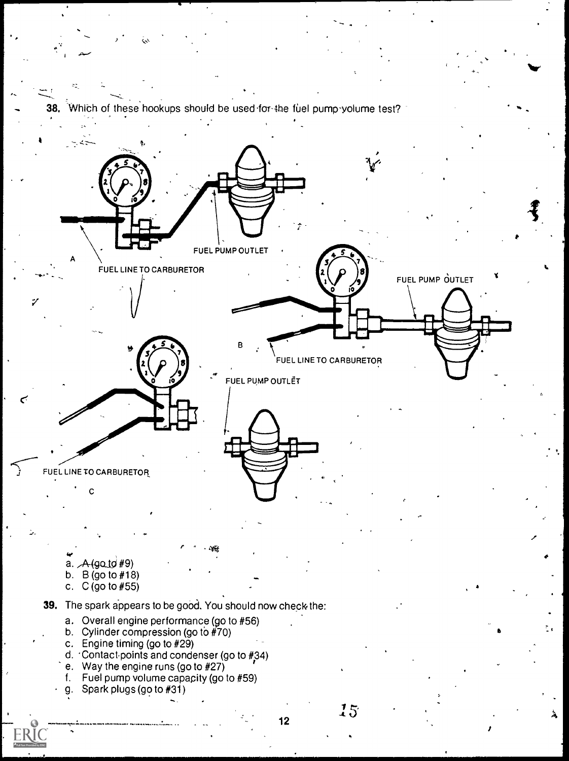Which of these hookups should be used-for-the fuel pump yolume test?

Nov

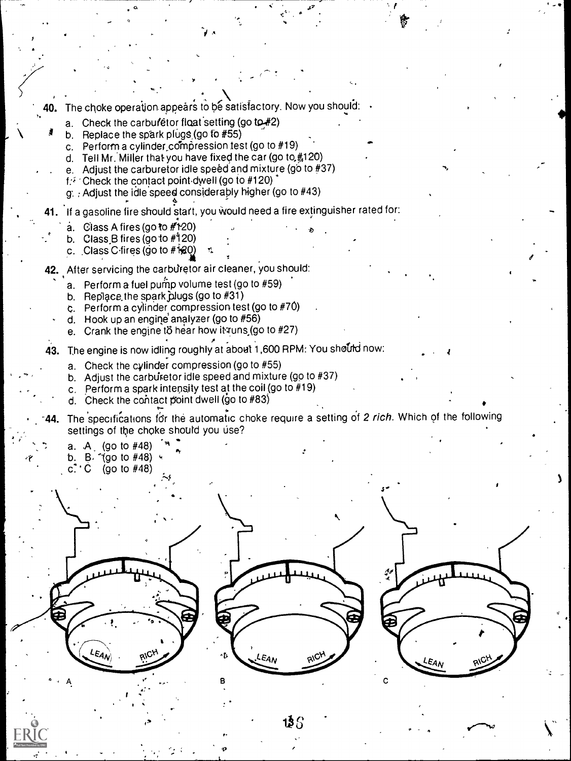40. The choke operation appears to be satisfactory. Now you should:

, a , ..  $\mathcal{A}$  , ...  $\mathcal{A}$  , ...  $\mathcal{A}$ 

,s

 $\sim$  .

- a. Check the carburetor float setting (go to  $#2$ )
- b. Replace the spark plugs (go to  $#55$ )
	- c. Perform a cylinder compression lest (go to  $#19$ )
	- d. Tell Mr. Miller that you have fixed the car (go to  $#120$ )
	- e. Adjust the carburetor idle speed and mixture (go to  $#37$ )
	- $f^*$  Check the contact point dwell (go to #120)
	- $g$ . Adjust the idle speed considerably higher (go to  $#43$ )
- 41. If a gasoline fire should start, you would need a fire extinguisher rated for:
	- $a.$  Class A fires (go to  $#t20$ )

.- o

- b. Class B fires (go to  $#120$ )
- c. Class C fires (go to  $#120$ )
- 42. After servicing the carburetor air cleaner, you should:
	- a. Perform a fuel pump volume test (go to  $#59$ )
	- b. Replace the spark plugs (go to  $#31$ )
	- C. Perform a cylinder compression test (go to #70)
	- d. Hook up an engine analyzer (go to  $#56$ )
	- e. Crank the engine to hear how it runs (go to  $#27$ )
- 43. The engine is now idling roughly at about 1,600 RPM: You shourd now:
	- a. Check the cylinder compression (go to #55)
	- b. Adjust the carbut stor idle speed and mixture (go to  $#37$ )
	- c. Perform a spark intensity test at the coil (go to #19)
	- d. Check the contact point dwell (go to  $#83$ )
- 44. The specifications for the automatic choke require a setting of 2 rich. Which of the following settings of the choke should you use?
	- a.  $A_{\perp}$  (go to #48)  $M_{\star}$
	- b.  $\beta$  (go to #48)  $\sim$
	- c.  $^{\bullet}$  C (go to #48)

 $\iota_{\varepsilon_{A_{N}}}$ 





r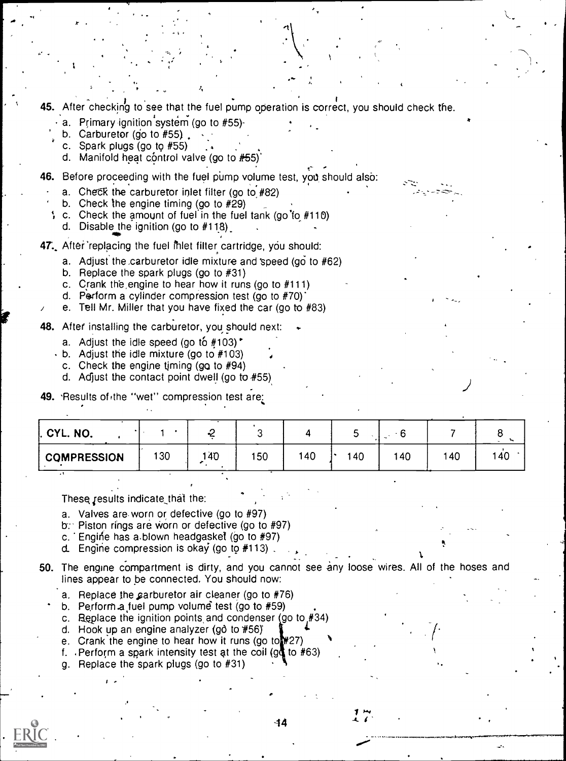**45.** After checking to see that the fuel pump operation is correct, you should check the.

- a. Primary ignition system (go to #55)-
- b. Carburetor (go to  $#55$ ).
- c. Spark plugs (go to #55).
- d. Manifold heat control valve (go to #55)'

46. Before proceeding with the fuel pump volume test, you should also:

 $\mathcal{A}_{\mathbf{t}}$  and the set of  $\mathcal{A}_{\mathbf{t}}$ 

- a. Check the carburetor inlet filter (go to  $#82$ )
- b. Check the engine timing (go to #29)
- c. Check the amount of fuel in the fuel tank (go'fo #110)
	- d. Disable the ignition (go to  $#118$ ).

47. After replacing the fuel intertiler cartridge, you should:

- a. Adjust the carburetor idle mixture and speed (go to  $#62$ )
- b. Replace the spark plugs (go to #31)
- c. Crank the engine to hear how it runs (go to #111)
- d. Perform a cylinder compression test (go to #70)'
- e. Tell Mr. Miller that you have fixed the car (go to #83)

48. After installing the carburetor, you should next:

- a. Adjust the idle speed (go to  $#103$ ).
- b. Adjust the idle mixture (go to #103)
- c. Check the engine timing  $(gq to #94)$
- d. Adjust the contact point dwell (go to  $#55$ )
- 49. Results of the "wet" compression test are:

| I. CYL. NO.        |     |     |     |     |     |     |     |     |  |
|--------------------|-----|-----|-----|-----|-----|-----|-----|-----|--|
| <b>COMPRESSION</b> | 130 | 140 | 150 | 140 | 140 | 140 | 140 | 140 |  |

These results indicate that the:

- a. Valves are-worn or defective (go to #97)
- $b$ : Piston rings are worn or defective (go to #97)
- c. Engine has a blown headgasket (go to #97)
- d. Engine compression is okay (go to #113)

50. The engine compartment is dirty, and you cannot see any loose wires. All of the hoses and lines appear to be connected. You should now:

- a. Replace the carburetor air cleaner (go to  $#76$ )
- b. Perform a fuel pump volume test (go to  $#59$ )
- c. Replace the ignition points and condenser (go to  $#34$ )
- d. Hook up an engine analyzer (gô to #56)
- e. Crank the engine to hear how it runs (go to  $#27$ )
- f. Perform a spark intensity test at the coil (gd to  $#63$ )
- g. Replace the spark plugs (go to #31)

 $\blacksquare$ 

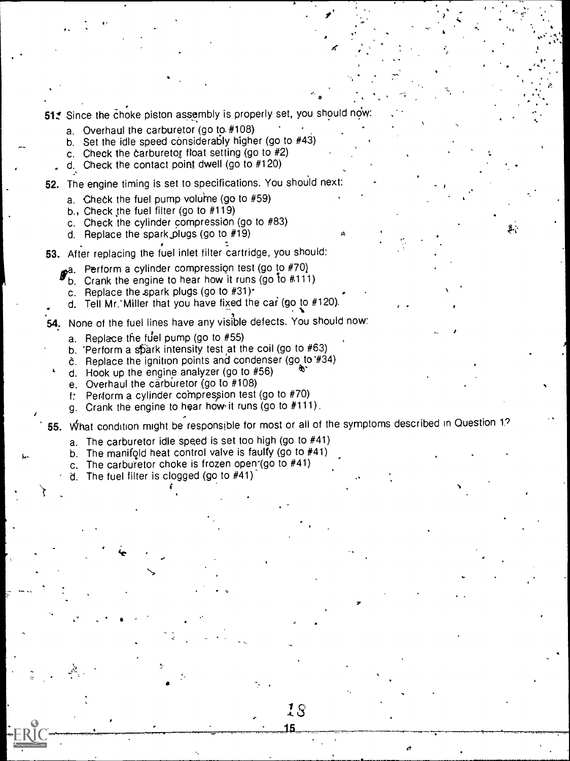51. Since the choke piston assembly is properly set, you should now

a. Overhaul the carburetor (go to. #108)

 $\cdots$ 

- b. Set the idle speed considerably higher (go to #43)
- c. Check the carburetor float setting (go to  $#2$ )
- d. Check the contact point dwell (go to #120)
- 52. The engine timing is set to specifications. You should next:
	- a. Check the fuel pump volume (go to  $#59$ )
	- b., Check the fuel filter (go to  $#119$ )
	- c. Check the cylinder compression (go to #83)
	- d. Replace the spark,plugs (go to #19)
- 53. After replacing the fuel inlet filter cartridge, you should:
	- ga. Perform a cylinder compression test (go to #70)
		- b. Crank the engine to hear how it runs (go to #111)
		- c. Replace the spark plugs (go to #31).
	- d. Tell Mr. Miller that you have fixed the car (go to  $#120$ ).
- 54. None of the fuel lines have any visible defects. You should now:
	- a. Replace the fuel pump (go to  $#55$ )
	- b. 'Perform a spark intensity test at the coil (go to  $#63$ )
	- 6. Replace the ignition points and condenser (go to '#34)
	- d. Hook up the engine analyzer (go to  $#56$ )
	- e. Overhaul the carburetor (go to #108)
	- $f$ : Perform a cylinder compression test (go to  $#70$ )
	- g. Crank the engine to hear how' it runs (go to #111).

55. What condition might be responsible for most or all of the symptoms described in Question 1?

18 15

u.

- a. The carburetor idle speed is set too high (go to #41)
- b. The manifold heat control valve is faulty (go to #41)
- c. The carburetor choke is frozen open-(go to  $#41$ )
- d. The fuel filter is clogged (go to #41)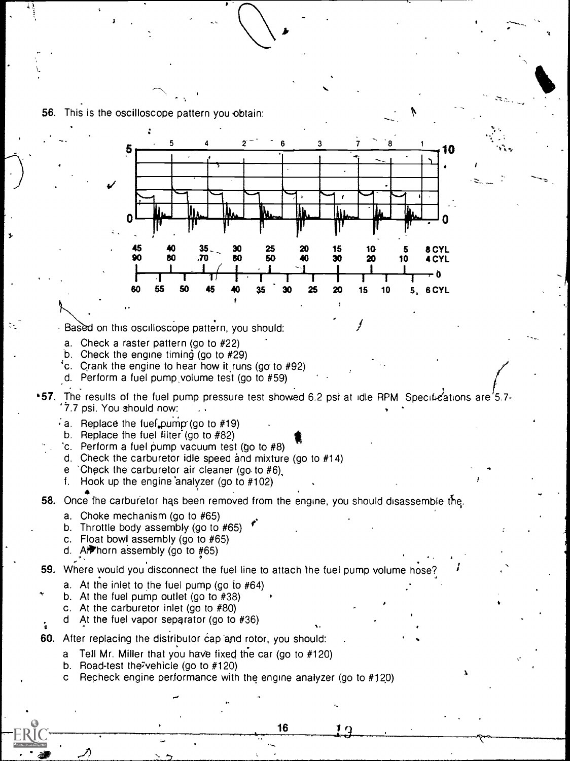

- b. Road-test the7vehicle (go to #120)
- Recheck engine performance with the engine analyzer (go to #120)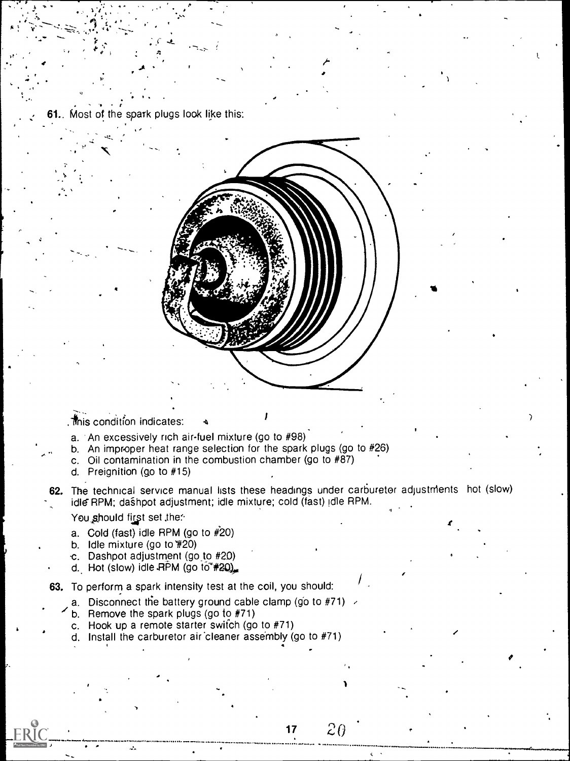Most of the spark plugs look like this:

. Inis condition indicates:

- a. An excessively rich air-fuel mixture (go to #98)
- b. An improper heat range selection for the spark plugs (go to #26)
- c. Oil contamination in the combustion chamber (go to  $#87$ )
- d. Preignition (go to #15)
- 62. The technical service manual lists these headings under carburetor adjustments hot (slow) idle RPM; dashpot adjustment; idle mixture; cold (fast) (dle RPM.

You should first set the:

- a. Cold (fast) idle RPM (go to  $#20$ )
- b. Idle mixture (go to #20)
- c. Dashpot adjustment (go to #20)
- d. Hot (slow) idle  $RPM$  (go to  $\approx$  #20).

63. To perform a spark intensity test at the coil, you should:

- a. Disconnect the battery ground cable clamp (go to #71)
	- b. Remove the spark plugs (go to  $#71$ )
	- c. Hook up a remote starter switch (go to  $#71$ )
	- d. Install the carburetor air cleaner assembly (go to #71)

 $2\theta$  $17$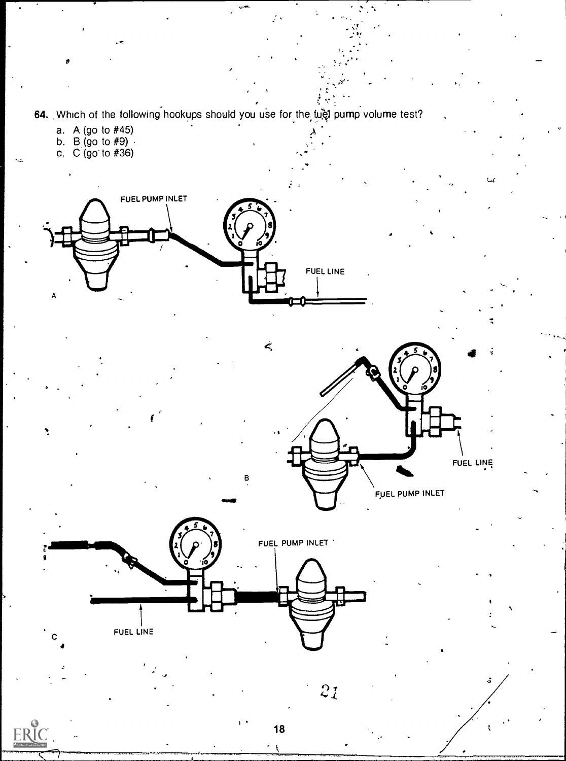64. Which of the following hookups should you use for the fuel pump volume test?

- a. A (go to #45)
- b. B (go to #9) · · · · ·
- c. C (go' to #36)

ERIC







в

 $2\mathfrak{z}$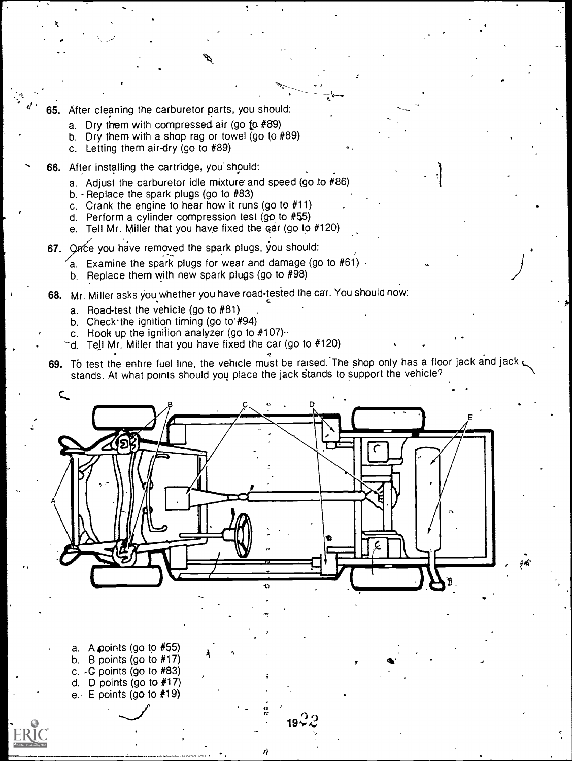- <sup>d'</sup> 65. After cleaning the carburetor parts, you should:
	- a. Dry them with compressed air (go to  $#89$ )
	- b. Dry them with a shop rag or towel (go to #89)
	- c. Letting them air-dry (go to #89)

k

- 66. After installing the cartridge, you' should:
	- a. Adjust the carburetor idle mixture and speed (go to #86)
	- b. Replace the spark plugs (go to  $#83$ )
	- c. Crank the engine to hear how it runs (go to #11)
	- d. Perform a cylinder compression test (go to #55)
	- e. Tell Mr. Miller that you have fixed the gar (go to #120)
	- 67. Once you have removed the spark plugs, you should:
		- Examine the spark plugs for wear and damage (go to  $#61$ )  $\cdot$
		- b. Replace them with new spark plugs (go to #98)
	- 68. Mr. Miller asks you whether you have road tested the car. You should now:

A

- a. Road-test the vehicle (go to #81)
- b. Check the ignition timing (go to #94)
- c. Hook up the ignition analyzer (go to  $#107$ ) $-$
- d. Tell Mr. Miller that you have fixed the car (go to #120)
- 69. To test the entire fuel line, the vehicle must be raised. The shop only has a floor jack and jack stands. At what points should you place the jack stands to support the vehicle?

 $\mathbf{b}$ 

 $\left. \frac{1}{2} \right|$ 

1. **1. 1. 1. 1. 1. 1. 1. 1. 1. 1. 1.** 



 $\frac{a}{2}$  10.2.9 19 $\leqslant$  4.1  $\leqslant$  5.1  $\leqslant$  5.1  $\leqslant$  5.1  $\leqslant$  5.1  $\leqslant$  5.1  $\leqslant$  5.1  $\leqslant$  5.1  $\leqslant$  5.1  $\leqslant$  5.1  $\leqslant$  5.1  $\leqslant$  5.1  $\leqslant$  5.1  $\leqslant$  5.1  $\leqslant$  5.1  $\leqslant$  5.1  $\leqslant$  5.1  $\leqslant$  5.1  $\le$ 

a. A points (go to #55) b. B points (go to #17) c.  $\cdot$  C points (go to  $\#83$ ) d. D points (go to  $#17$ ) e. E points (go to #19)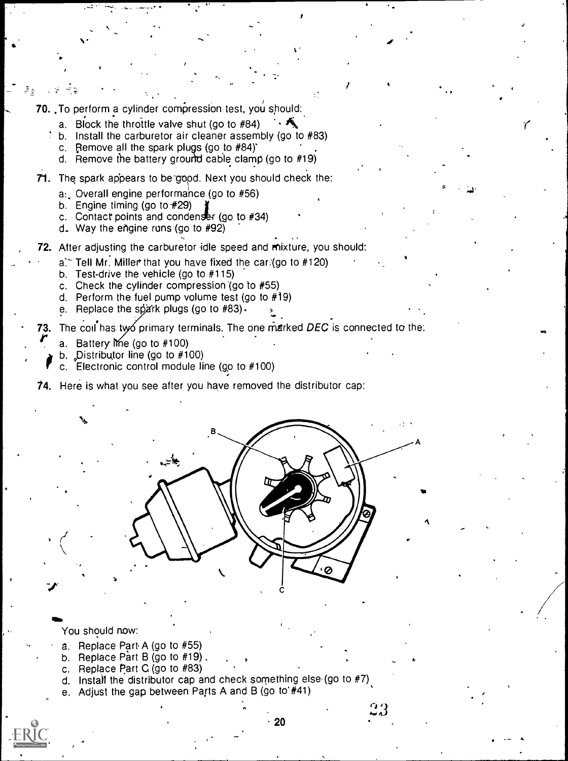70. To perform a cylinder compression test, you should:.

r

- a. Block the throttle valve shut (go to #84)  $\cdot$
- b. Install the carburetor air cleaner assembly (go to #83)

"....

e, e

 $\mathbf{r}$ 

t i st

 $I_{\rm{max}}$ 

 $\bullet$  and  $\bullet$ 

'(

..,

- c. Remove all the spark plugs (go to  $#84$ )
- d. Remove the battery ground cable clamp (go to  $#19$ )
- 71. The spark appears to be good. Next you should check the:
	- a: Overall engine performance (go to #56)
	- b. Engine timing (go to  $#29$ )

 $\frac{1}{2}$  ,  $\frac{1}{2}$  ,  $\frac{1}{2}$  ,  $\frac{1}{2}$  ,  $\frac{1}{2}$ 

- c. Contact points and condenser (go to  $#34$ )
- d\_ Way the engine runs (go to #92)

72. After adjusting the carburetor idle speed and mixture, you should:

- $a$ . Tell Mr. Miller that you have fixed the car (go to #120).
- b. Test-drive the vehicle (go to #115)
- c. Check the cylinder compression (go to #55)
- d. Perform the fuel pump volume test (go to #19)
- e. Replace the spark plugs (go to  $#83$ ).

73. The coil has ty primary terminals. The one marked DEC is connected to the:

- 
- a. Battery Ime (go to #100)<br>b. Distributor line (go to #100)
- fb. Distributor line (go to #100) c. Electronic control module line (go to #100)

74. Here is what you see after you have removed the distributor cap:



You should now:

Wet

- a. Replace Part A (go to #55)
- b. Replace Part B (go to #19).
- c. Replace Part C (go to #83)
- d. Install the distributor cap and check something else (go to  $#7$ ).
- e. Adjust the gap between Parts A and B (go to'#41)

المنة

..,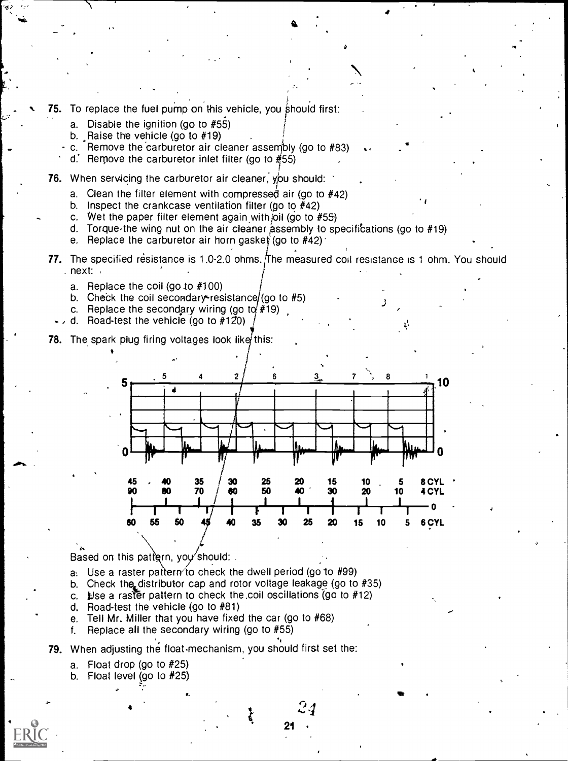- 75. To replace the fuel pump on this vehicle, you should first:
	- a. Disable the ignition (go to #55)
	- b. Raise the vehicle (go to #19)
	- c. Remove the 'carburetor air cleaner assembly (go to #83)
		- d. Remove the carburetor inlet filter (go to  $#55$ )
- 76. When servicing the carburetor air cleaner, you should:
	- a. Clean the filter element with compressed air (go to #42)
	- b. Inspect the crankcase ventilation filter (go to #42)
	- c. Wet the paper filter element again with joil (go to  $#55$ )
	- d. Torque the wing nut on the air cleaner assembly to specifications (go to #19)
	- e. Replace the carburetor air horn gasket (go to  $#42$ )
- 77. The specified resistance is 1.0-2.0 ohms. The measured coil resistance is 1 ohm. You should . next:

 $\sim$ 

- a. Replace the coil (go to  $#100$ )
- b. Check the coil secondary resistance (go to #5)
- c. Replace the secondary wiring (go to  $#19$ )
- d. Road-test the vehicle (go to  $#120$ )
- **78.** The spark plug firing voltages look like this:



 $24^{\circ}$ 

21

Based on this pattern, you should:

- a. Use a raster pattern to check the dwell period (go to  $#99$ )
- b. Check the distributor cap and rotor voltage leakage (go to #35)
- c. Let a raster pattern to check the coil oscillations (go to  $#12$ )
- d. Road-test the vehicle (go to #81)
- e. Tell Mr. Miller that you have fixed the car (go to #68)
- f. Replace all the secondary wiring (go to #55)
- 79. When adjusting the float mechanism, you should first set the:
	- a. Float drop (go to #25)
	- b. Float level (go to #25)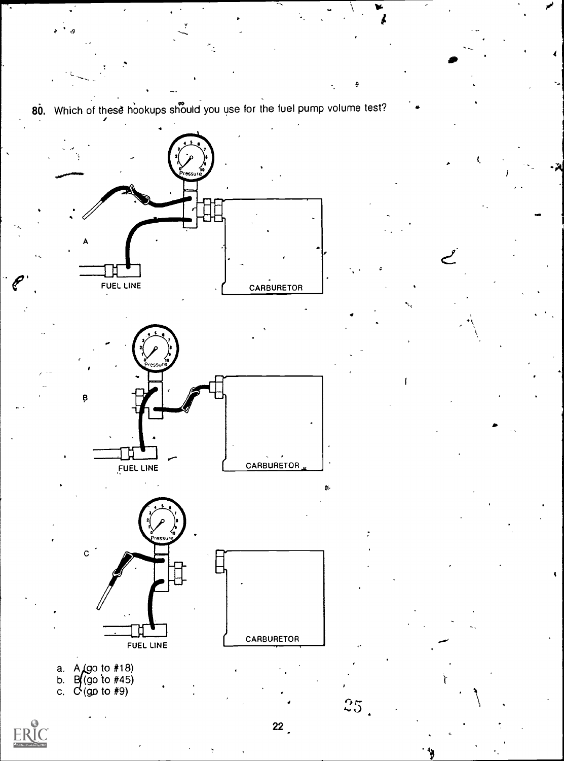

 $22$ 

 $25\text{ }$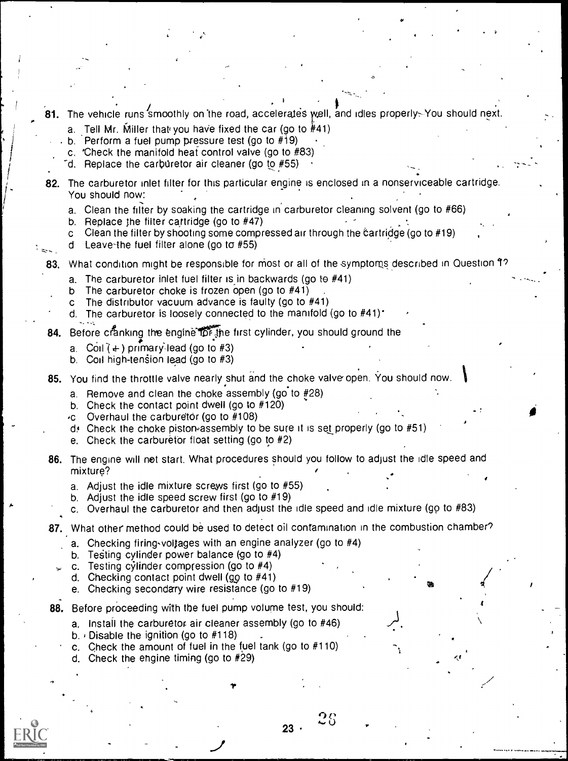- The vehicle runs smoothly on the road, accelerates well, and idles properly. You should next.
	- a. Tell Mr. Miller that you have fixed the car (go to  $#41$ )
	- b. Perform a fuel pump pressure test (go to  $\#$ 19)
	- c. 'Check the manifold heat control valve (go to #83)
	- $\sim$  Replace the carburetor air cleaner (go to #55)
- 82. The carburetor inlet filter for this particular engine is enclosed in a nonserviceable cartridge. You should now:
	- a. Clean the filter by soaking the cartridge in carburetor cleaning solvent (go to #66)
	- b. Replace jhe filter cartridge (go to #47)
	- c Clean the filter by shooting some compressed air through the cartridge (go to  $#19$ )
	- d Leave-the fuel filter alone (go to #55)
- 83. What condition might be responsible for most or all of the symptoms described in Question 1?
	- a. The carburetor inlet fuel filter is in backwards (go to  $#41$ )
	- b The carburetor choke is frozen open (go to #41)
	- c The distributor vacuum advance is faulty (go to #41)
	- d. The carburetor is loosely connected to the manifold (go to  $#41$ ).
- 84. Before cranking the engine for the first cylinder, you should ground the
	- a. Coil  $(+)$  primary lead (go to #3)
	- b. Coil high-tension lead (go to  $#3$ )

85. You find the throttle valve nearly shut and the choke valve open. You should now.

- a. Remove and clean the choke assembly (go to  $#28$ )
- b. Check the contact point dwell (go to #120)
- $\cdot c$  Overhaul the carburetor (go to #108)
- $d$ . Check the choke piston assembly to be sure it is set properly (go to  $#51$ )
- e. Check the carburetor float setting (go to  $#2$ )
- 86. The engine will not start. What procedures should you follow to adjust the idle speed and mixture?
	- a. Adjust the idle mixture screws first (go to #55)
	- b. Adjust the idle speed screw first (go to #19)
	- c. Overhaul the carburetor and then adjust the idle speed and idle mixture (go to #83)

 $\bullet$   $\bullet$ 

- 87. What other method could be used to detect oil contamination in the combustion chamber?
	- a. Checking firing-voltages with an engine analyzer (go to #4)
	- b. Testing cylinder power balance (go to #4)
	- c. Testing cylinder compression (go to #4)
	- d. Checking contact point dwell (go to  $#41$ )
	- e. Checking secondary wire resistance (go to #19)
- 88. Before proceeding with the fuel pump volume test, you should:
	- a. Install the carburetor air cleaner assembly (go to #46)
	- b. *i* Disable the ignition (go to  $#118$ )
	- c. Check the amount of fuel in the fuel tank (go to #110)
	- d. Check the engine timing (go to #29)



23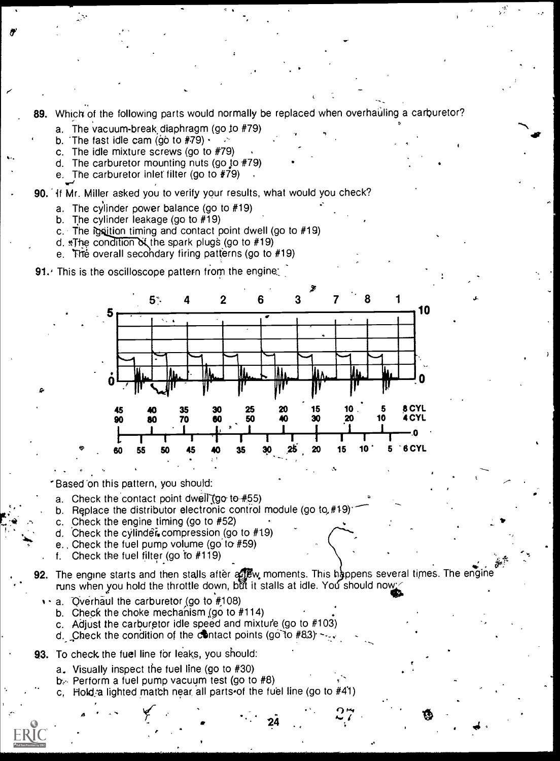89. Which of the following parts would normally be replaced when overhauling a carburetor?

 $\bullet$  . The set of  $\bullet$ 

r'

 $\mathbf{t}_\mathrm{t}$  , where  $\mathbf{t}_\mathrm{t}$ 

- a. The vacuum-break diaphragm (go io #79)
- b. The fast idle cam (go to  $#79$ )  $\cdot$
- c. The idle mixture screws (go to #79)
- d. The carburetor mounting nuts (go to  $#79$ )
- e. The carburetor inlet filter (go to  $\#79$ )

90. 'if Mr. Miller asked you to verify your results, what would you check?

- a. The cylinder power balance (go to #19)
- b. The cylinder leakage (go to #19)
- c. The ignition timing and contact point dwell (go to  $#19$ )
- d.  $The$  condition of the spark plugs (go to  $#19$ )
- e. The overall secondary firing patterns (go to #19)

**91.** This is the oscilloscope pattern from the engine;



Based 'on this pattern, you should:

- a. Check the contact point dwell (go to  $#55$ )
- b. Replace the distributor electronic control module (go to,  $#19$ )
- c. Check the engine timing (go to #52)
- d. Check the cylinder compression (go to  $#19$ )
- e. Check the fuel pump volume (go to #59)
- . f. Check the fuel filter (go to #119)
- 92. The engine starts and then stalls after a w. moments. This h appens several times. The engine runs when you hold the throttle down, but it stalls at idle. You should now<br>IP a. Overhaul the carburetor (go to #108)

24

- - b. Check the choke mechanism (go to  $#114$ )
	- c. Adjust the carburetor idle speed and mixture (go to #103)
- d. Check the condition of the contact points (go to  $#83$ )  $-$ ,
- 93. To check the fuel line for leaks, you should:

 $\mathbf{A} = \mathbf{A} \times \mathbf{A}$ 

- a. Visually inspect the fuel line (go to #30)
- $b<sub>l</sub>$  Perform a fuel pump vacuum test (go to #8)
- c. Hold a lighted match near, all parts of the fuel line (go to  $#41$ )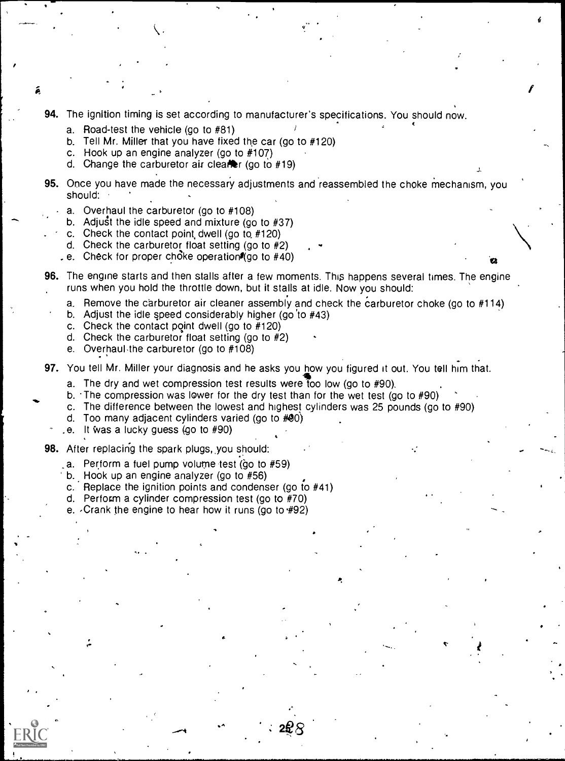- 94. The ignition timing is set according to manufacturer's specifications. You should now.
	- a. Road-test the vehicle (go to #81)

Á

- b. Tell Mr. Miller that you have fixed the car (go to #120)
- c. Hook up an engine analyzer (go to #107)
- d. Change the carburetor air clearer (go to  $#19$ )
- 95. Once you have made the necessary adjustments and reassembled the choke mechanism, you should:
	- a. Overhaul the carburetor (go to #108)
	- b. Adjust the idle speed and mixture (go to  $#37$ )
	- c. Check the contact point dwell (go to  $#120$ )
	- d. Check the carburetor float setting (go to #2)
	- e. Check for proper choke operation (go to  $#40$ )
- 96. The engine starts and then stalls after a few moments. This happens several times. The engine runs when you hold the throttle down, but it stalls at idle. Now you should:
	- a. Remove the carburetor air cleaner assembly and check the carburetor choke (go to #114)

N

- b. Adjust the idle speed considerably higher (go 'to #43)
- c. Check the contact point dwell (go to #120)
- d. Check the carburetor float setting (go to #2)
- e. Overhaul,the carburetor (go to #108)
- 97. You tell Mr. Miller your diagnosis and he asks you how you figured it out. You tell him that.
	- a. The dry and wet compression test results were too low (go to  $#90$ ).

 $\bullet$  In the  $\bullet$ 

2e $\mathcal{B}$  and  $\mathcal{B}$ 

- b. The compression was lower for the dry test than for the wet test (go to  $#90$ )
- c. The difference between the lowest and highest cylinders was 25 pounds (go to #90)
- d. Too many adjacent cylinders varied (go to  $#90$ )
- . e. It Was a lucky guess (go to #90)
- 98. After replacing the spark plugs, you should:
	- a. Perform a fuel pump volume test (go to #59)
	- b. Hook up an engine analyzer (go to #56)
	- c. Replace the ignition points and condenser (go to  $#41$ )
	- d. Perform a cylinder compression test (go to #70)
	- e.  $\sqrt{C}$  Crank the engine to hear how it runs (go to  $\#92$ )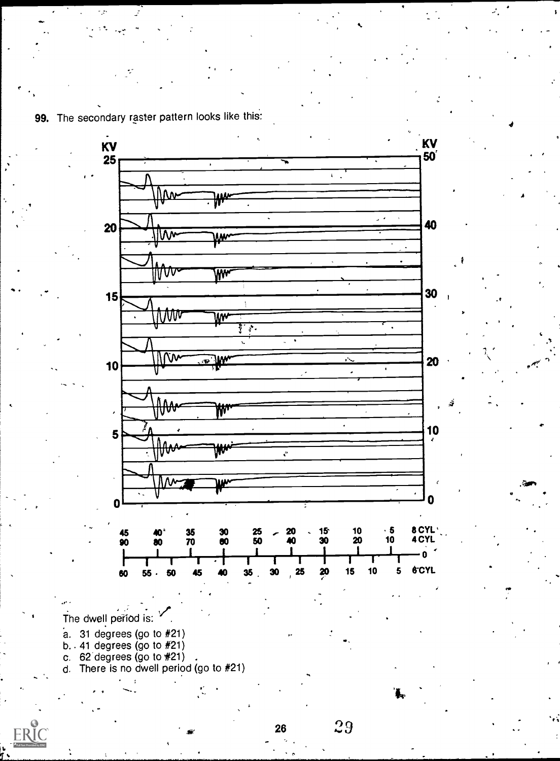

99. The secondary raster pattern looks like this:

 $\mathbf{r}$ 

The dwell period is:

- a. 31 degrees (go to #21)<br>b. 41 degrees (go to #21)<br>c. 62 degrees (go to #21)
- 
- 
- d. There is no dwell period (go to #21)



29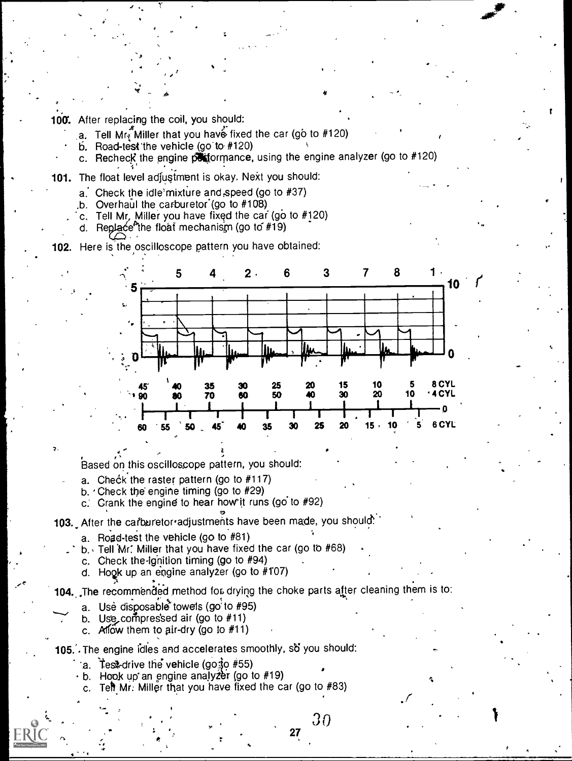100. After replacing the coil, you should:

 $\bullet$   $\bullet$ 

- a. Tell Mr Miller that you have fixed the car (go to  $#120$ )
- $\overline{b}$ . Road-test the vehicle (go to #120)
- c. Recheck the engine  $\overrightarrow{p}$  formance, using the engine analyzer (go to #120)
- 101. The float level adjustment is okay. Next you should:
	- $a$ . Check the idle mixture and speed (go to  $#37$ )
	- $b.$  Overhaul the carburetor (go to  $#108$ )
	- c. Tell Mr, Miller you have fixed the car (go to  $#120$ )
	- d. Replace the float mechanism (go to  $#19$ )

## 102. Here is the oscilloscope pattern you have obtained:



Based on this oscilloscope pattern, you should:

- a. Check the raster pattern (go to  $#117$ )
- b.  $\cdot$  Check the engine timing (go to #29)
- c. Crank the engine to hear how it runs (go to  $#92$ )

103. After the carburetor adjustments have been made, you should:

- a. Road-test the vehicle (go to  $#81$ )
- b., Tell Mr: Miller that you have fixed the car (go tb #68)
- c. Check the ignition timing (go to  $#94$ )
- d. Hook up an engine analyzer (go to #107)

104. The recommended method for drying the choke parts after cleaning them is to:

- a. Use disposable towels (go to #95)
- b. Use compressed air (go to  $#11$ )
- c. Allow them to air-dry (go to  $#11$ )

## 105.. The engine idles and accelerates smoothly, so you should:

- a. Test-drive the vehicle (got  $\frac{1}{2}$  #55)
- $\cdot$  b. Hook up an engine analyzer (go to #19)
	- c. Tell Mr. Miller that you have fixed the car (go to  $#83$ )

rb. 27  $\sim$  27  $\sim$  27  $\sim$  27  $\sim$  $30$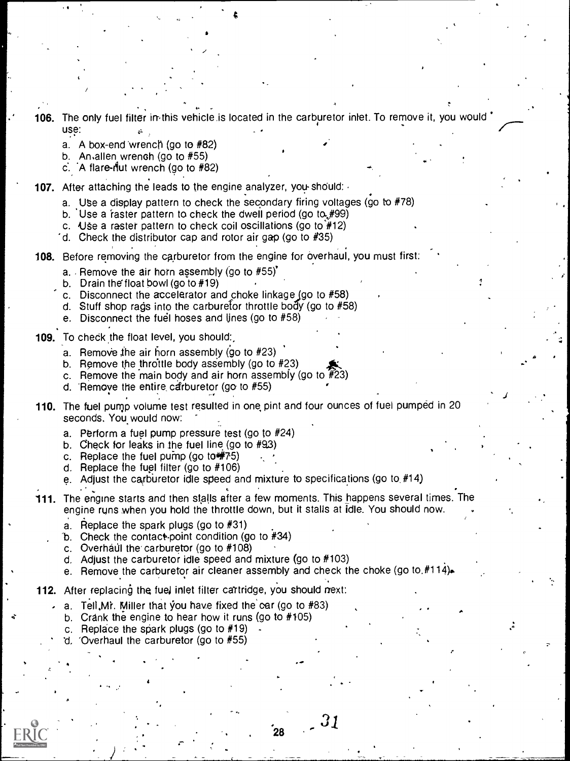- 106. The only fuel filter in this vehicle is located in the carburetor inlet. To remove it, you would
	- use:<br>a. . A box-end wrench (go to #82)
	- b. An allen wrench (go to  $#55$ )
	- c. A flare-riut wrench (go to  $#82$ )
- 107. After attaching the leads to the engine analyzer, you-should:
	- a. Use a display pattern to check the secondary firing voltages (go to  $#78$ )
	- b. Use a raster pattern to check the dwell period (go to  $#99$ )
	- c. Use a raster pattern to check coil oscillations (go to  $#12$ )
	- "d. Check the distributor cap and rotor air gap (go to #35)

108. Before removing the carburetor from the engine for overhaul, you must first:

- a. Remove the air horn assembly (go to  $#55$ )
- b. Drain the float bowl (go to #19)
- c. Disconnect the accelerator and choke linkage (go to  $#58$ )
- d. Stuff shop rags into the carburetor throttle body (go to #58)
- e. Disconnect the fuel hoses and lines (go to  $#58$ )
- 109. To check the float level, you should:
	- a. Remove the air horn assembly (go to  $#23$ )
	- b. Remove the throttle body assembly (go to  $#23$ )
	- c. Remove the main body and air horn assembly (go to #23)
	- d. 'Remove the entire, carburetor (go to #55)
- 110. The fuel pump volume test resulted in one pint and four ounces of fuel pumped in 20 seconds. You would now:
	- a. Perform a fuel pump pressure test (go to #24)
	- b. Check for leaks in the fuel line (go to #93)
	- c. Replace the fuel pump (go to  $\frac{4}{3}$ 75)
	- d. Replace the fuel filter (go to #106)
	- e. Adjust the carburetor idle speed and mixture to specifications (go to  $#14$ )
- 111. The engine starts and then stalls after a few moments. This happens several times. The engine runs when you hold the throttle down, but it stalls at idle. You should now.
	- a. Replace the spark plugs (go to #31)
	- b. Check the contact-point condition (go to  $#34$ )
	- c. Overhaul the carburetor (go to  $#108$ )
	- d. Adjust the carburetor idle speed and mixture (go to #103)
	- e. Remove the carburetor air cleaner assembly and check the choke (go to.#114).

28

31

- 112. After replacing the fuel inlet filter cartridge, you should next:
	- a. Tell, Mr. Miller that you have fixed the car (go to  $#83$ )
	- b. Crank the engine to hear how it runs (go to #105)
	- c. Replace the spark plugs (go to  $#19$ )

4

'Overhaul the carburetor (go to  $#55$ )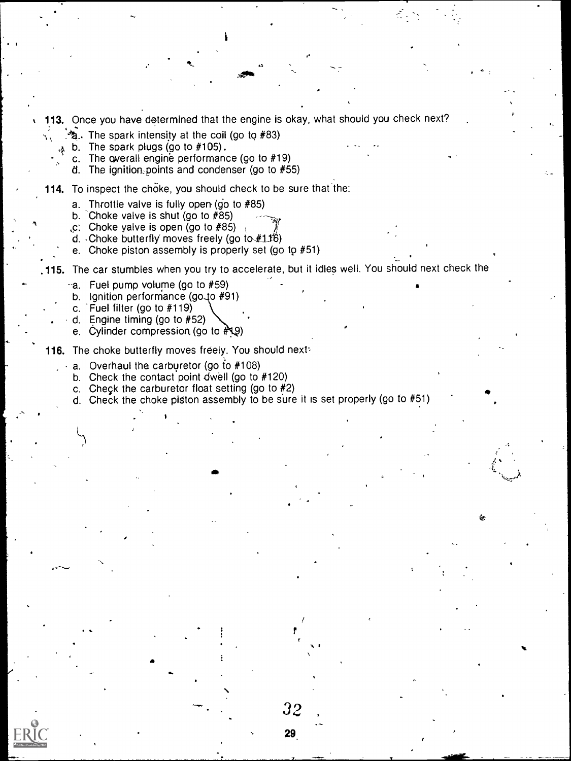- 113. Once you have determined that the engine is okay, what should you check next?
	- $\mathcal{F}_2$ . The spark intensity at the coil (go to #83)
	- $\lambda$  b. The spark plugs (go to #105).
		- c. The overall engine performance (go to #19)
		- d. The ignition:points and condenser (go to #55)
- 114. To inspect the choke, you should check to be sure that the:
	- a. Throttle valve is fully open (go to #85)
	- b.  $\overline{Choke}$  valve is shut (go to #85)
	- $\overline{C}$ . Choke yalve is open (go to #85)
	- d. Choke butterfly moves freely (go to  $\#116$ )
	- e. Choke piston assembly is properly set (go to #51)
- .115. The car stumbles when you try to accelerate, but it idles well. You should next check the
	- bia. Fuel pump volume (go to #59)
	- b. Ignition performance (go to #91)
	- c. 'Fuel filter (go to #119)

 $\mathcal{L}$ 

- . d. Engine timing (go to #52)
- e. Cylinder compression (go to  $\sqrt[p]{2}$ )
- 116. The choke butterfly moves freely. You should next:
	- a. Overhaul the carburetor (go to #108)
	- b. Check the contact point dwell (go to #120)
	- c. Check the carburetor float setting (go to #2)
	- d. Check the choke piston assembly to be sure it is set properly (go to #51)

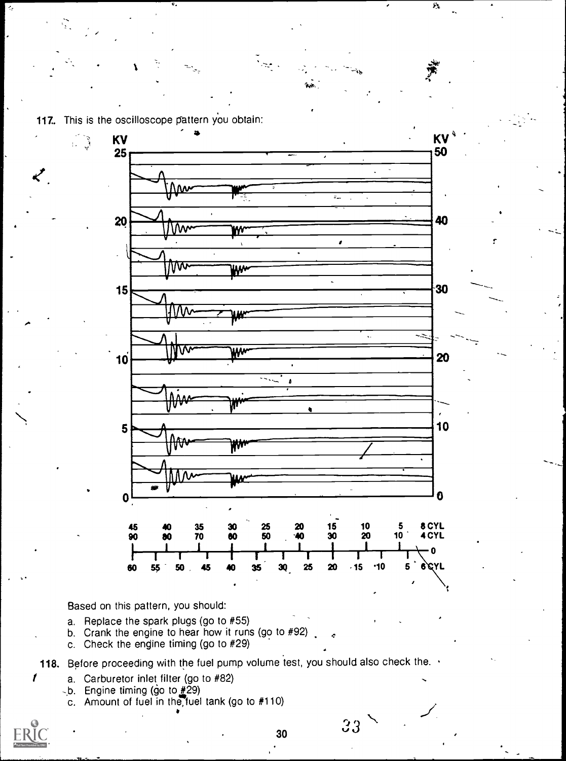117. This is the oscilloscope pattern you obtain:

 $\mathbb{C}$ 

محمد



Based on this pattern, you should:

- a. Replace the spark plugs (go to #55)
- b. Crank the engine to hear how it runs (go to  $#92$ ).
- c. Check the engine timing (go to #29)

118. Before proceeding with the fuel pump volume test, you should also check the.

- a. Carburetor inlet filter (go to #82)
- b. Engine timing (go to  $\frac{1}{2}$ 29)
- c. Amount of fuel in the,fuel tank (go to #110)

 $\prime$ 

30

 $3 \times 10^{12}$ 

 $\mu_{\rm{L}}$